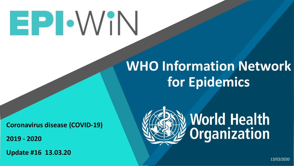# EPIOVIN

# **WHO Information Network for Epidemics**

**Coronavirus disease (COVID-19)** 

**2019 - 2020**

**Update #16 13.03.20**



13/03/2020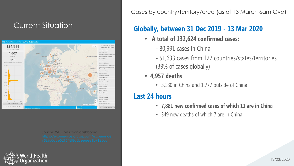#### Current Situation



Source: WHO Situation dashboard



Cases by country/territory/area (as of 13 March 6am Gva)

### **Globally, between 31 Dec 2019 - 13 Mar 2020**

- **A total of 132,624 confirmed cases:**
	- 80,991 cases in China
	- 51,633 cases from 122 countries/states/territories (39% of cases globally)
- **4,957 deaths**
	- 3,180 in China and 1,777 outside of China

### **Last 24 hours**

- **7,881 new confirmed cases of which 11 are in China**
- 349 new deaths of which 7 are in China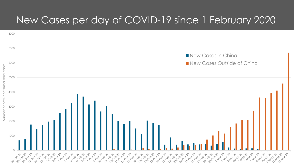### New Cases per day of COVID-19 since 1 February 2020

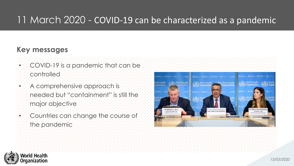### 11 March 2020 - COVID-19 can be characterized as a pandemic

#### **Key messages**

- COVID-19 is a pandemic that can be **controlled**
- A comprehensive approach is needed but "containment" is still the major objective
- Countries can change the course of the pandemic



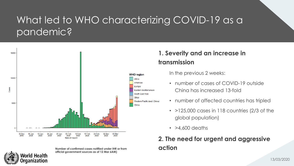## What led to WHO characterizing COVID-19 as a pandemic?





**Number of confirmed cases notified under IHR or from <b>and action official government sources as of 12 Mar 6AM)**

#### **1. Severity and an increase in transmission**

In the previous 2 weeks:

- number of cases of COVID-19 outside China has increased 13-fold
- number of affected countries has tripled
- $\cdot$  >125,000 cases in 118 countries (2/3 of the global population)
- $\cdot$  >4,600 deaths

# **2. The need for urgent and aggressive**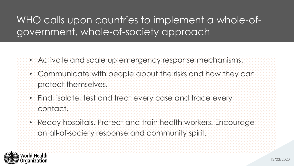## WHO calls upon countries to implement a whole-ofgovernment, whole-of-society approach

- Activate and scale up emergency response mechanisms.
	- Communicate with people about the risks and how they can protect themselves.
	- Find, isolate, test and treat every case and trace every contact.
	- Ready hospitals. Protect and train health workers. Encourage an all-of-society response and community spirit.

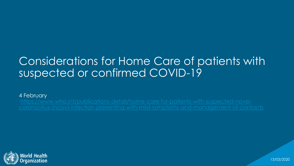# Considerations for Home Care of patients with suspected or confirmed COVID-19

4 February

https://www.who.int/publications-detail/home-care-for-patients-with-suspected-novel-



13/03/2020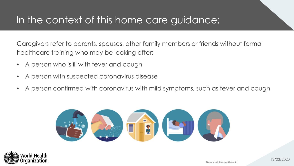### In the context of this home care guidance:

Caregivers refer to parents, spouses, other family members or friends without formal healthcare training who may be looking after:

- A person who is ill with fever and cough
- A person with suspected coronavirus disease
- A person confirmed with coronavirus with mild symptoms, such as fever and cough



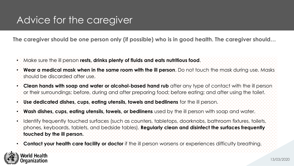### Advice for the caregiver

**The caregiver should be one person only (if possible) who is in good health. The caregiver should…**

- Make sure the ill person **rests, drinks plenty of fluids and eats nutritious food**.
- **Wear a medical mask when in the same room with the ill person**. Do not touch the mask during use. Masks should be discarded after use.
- **Clean hands with soap and water or alcohol-based hand rub** after any type of contact with the ill person or their surroundings; before, during and after preparing food; before eating; and after using the toilet.
- **Use dedicated dishes, cups, eating utensils, towels and bedlinens** for the ill person.
- **Wash dishes, cups, eating utensils, towels, or bedlinens** used by the ill person with soap and water.
- Identify frequently touched surfaces (such as counters, tabletops, doorknobs, bathroom fixtures, toilets, phones, keyboards, tablets, and bedside tables). **Regularly clean and disinfect the surfaces frequently touched by the ill person.**
- **Contact your health care facility or doctor** if the ill person worsens or experiences difficulty breathing.

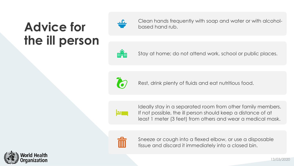# **Advice for the ill person**



Clean hands frequently with soap and water or with alcoholbased hand rub.



Stay at home; do not attend work, school or public places.



Rest, drink plenty of fluids and eat nutritious food.



Ideally stay in a separated room from other family members. If not possible, the ill person should keep a distance of at least 1 meter (3 feet) from others and wear a medical mask.



Sneeze or cough into a flexed elbow, or use a disposable tissue and discard it immediately into a closed bin.

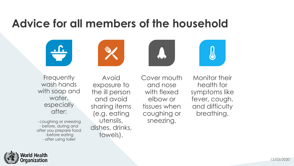# **Advice for all members of the household**









**Frequently** wash hands with soap and water, especially after:

- coughing or sneezing - before, during and after you prepare food -before eating - after using toilet

Avoid exposure to the ill person and avoid sharing items (e.g. eating utensils, dishes, drinks, towels).

Cover mouth and nose with flexed elbow or tissues when coughing or sneezing.

Monitor their health for symptoms like fever, cough, and difficulty breathing.